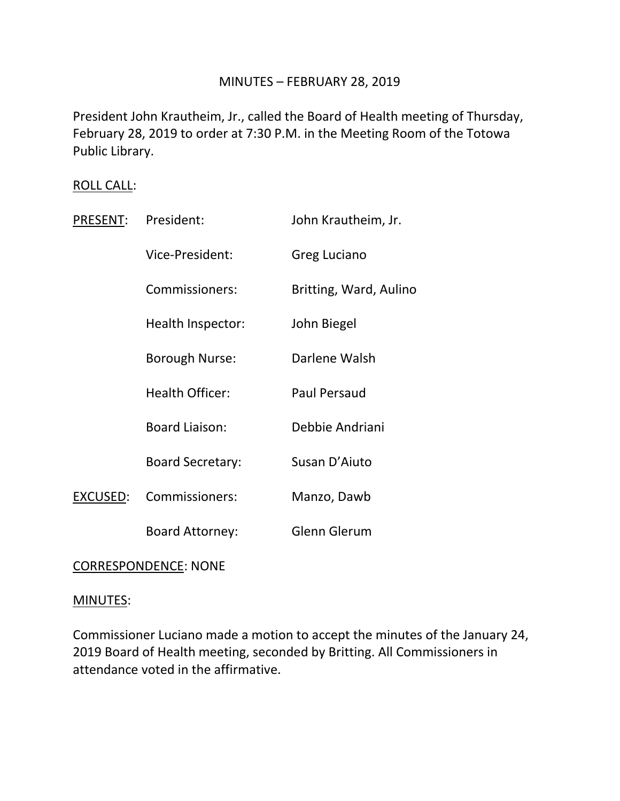# MINUTES – FEBRUARY 28, 2019

President John Krautheim, Jr., called the Board of Health meeting of Thursday, February 28, 2019 to order at 7:30 P.M. in the Meeting Room of the Totowa Public Library.

### ROLL CALL:

| PRESENT: | President:              | John Krautheim, Jr.    |
|----------|-------------------------|------------------------|
|          | Vice-President:         | Greg Luciano           |
|          | Commissioners:          | Britting, Ward, Aulino |
|          | Health Inspector:       | John Biegel            |
|          | Borough Nurse:          | Darlene Walsh          |
|          | Health Officer:         | Paul Persaud           |
|          | <b>Board Liaison:</b>   | Debbie Andriani        |
|          | <b>Board Secretary:</b> | Susan D'Aiuto          |
| EXCUSED: | Commissioners:          | Manzo, Dawb            |
|          | <b>Board Attorney:</b>  | <b>Glenn Glerum</b>    |
|          |                         |                        |

### CORRESPONDENCE: NONE

#### MINUTES:

Commissioner Luciano made a motion to accept the minutes of the January 24, 2019 Board of Health meeting, seconded by Britting. All Commissioners in attendance voted in the affirmative.